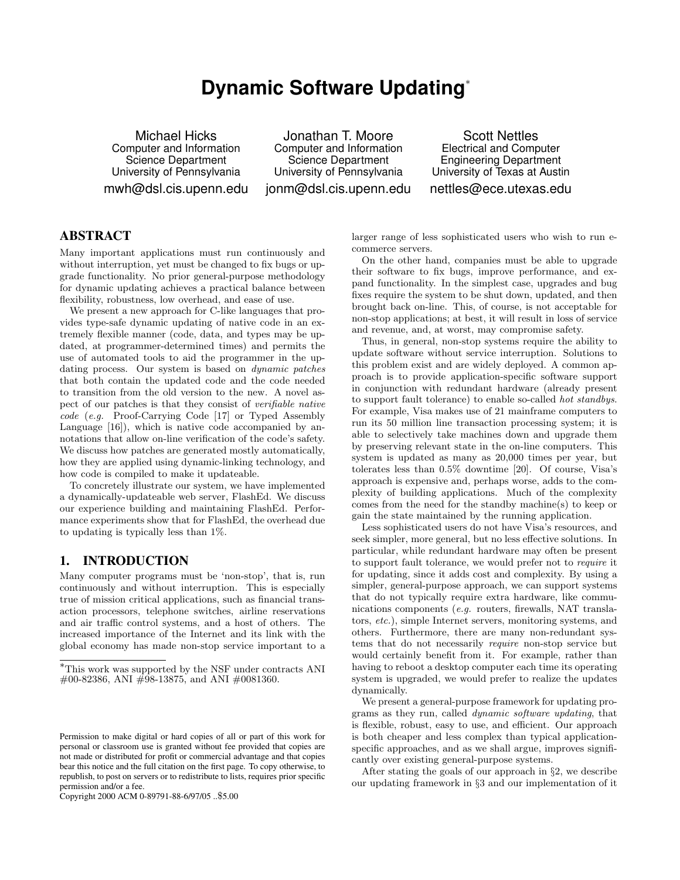# **Dynamic Software Updating**<sup>∗</sup>

Michael Hicks Computer and Information Science Department University of Pennsylvania mwh@dsl.cis.upenn.edu

Jonathan T. Moore Computer and Information Science Department University of Pennsylvania jonm@dsl.cis.upenn.edu

Scott Nettles Electrical and Computer Engineering Department University of Texas at Austin nettles@ece.utexas.edu

# ABSTRACT

Many important applications must run continuously and without interruption, yet must be changed to fix bugs or upgrade functionality. No prior general-purpose methodology for dynamic updating achieves a practical balance between flexibility, robustness, low overhead, and ease of use.

We present a new approach for C-like languages that provides type-safe dynamic updating of native code in an extremely flexible manner (code, data, and types may be updated, at programmer-determined times) and permits the use of automated tools to aid the programmer in the updating process. Our system is based on dynamic patches that both contain the updated code and the code needed to transition from the old version to the new. A novel aspect of our patches is that they consist of verifiable native code (e.g. Proof-Carrying Code [17] or Typed Assembly Language [16]), which is native code accompanied by annotations that allow on-line verification of the code's safety. We discuss how patches are generated mostly automatically, how they are applied using dynamic-linking technology, and how code is compiled to make it updateable.

To concretely illustrate our system, we have implemented a dynamically-updateable web server, FlashEd. We discuss our experience building and maintaining FlashEd. Performance experiments show that for FlashEd, the overhead due to updating is typically less than 1%.

## 1. INTRODUCTION

Many computer programs must be 'non-stop', that is, run continuously and without interruption. This is especially true of mission critical applications, such as financial transaction processors, telephone switches, airline reservations and air traffic control systems, and a host of others. The increased importance of the Internet and its link with the global economy has made non-stop service important to a

Copyright 2000 ACM 0-89791-88-6/97/05 ..\$5.00

larger range of less sophisticated users who wish to run ecommerce servers.

On the other hand, companies must be able to upgrade their software to fix bugs, improve performance, and expand functionality. In the simplest case, upgrades and bug fixes require the system to be shut down, updated, and then brought back on-line. This, of course, is not acceptable for non-stop applications; at best, it will result in loss of service and revenue, and, at worst, may compromise safety.

Thus, in general, non-stop systems require the ability to update software without service interruption. Solutions to this problem exist and are widely deployed. A common approach is to provide application-specific software support in conjunction with redundant hardware (already present to support fault tolerance) to enable so-called hot standbys. For example, Visa makes use of 21 mainframe computers to run its 50 million line transaction processing system; it is able to selectively take machines down and upgrade them by preserving relevant state in the on-line computers. This system is updated as many as 20,000 times per year, but tolerates less than 0.5% downtime [20]. Of course, Visa's approach is expensive and, perhaps worse, adds to the complexity of building applications. Much of the complexity comes from the need for the standby machine(s) to keep or gain the state maintained by the running application.

Less sophisticated users do not have Visa's resources, and seek simpler, more general, but no less effective solutions. In particular, while redundant hardware may often be present to support fault tolerance, we would prefer not to require it for updating, since it adds cost and complexity. By using a simpler, general-purpose approach, we can support systems that do not typically require extra hardware, like communications components (e.g. routers, firewalls, NAT translators, etc.), simple Internet servers, monitoring systems, and others. Furthermore, there are many non-redundant systems that do not necessarily require non-stop service but would certainly benefit from it. For example, rather than having to reboot a desktop computer each time its operating system is upgraded, we would prefer to realize the updates dynamically.

We present a general-purpose framework for updating programs as they run, called dynamic software updating, that is flexible, robust, easy to use, and efficient. Our approach is both cheaper and less complex than typical applicationspecific approaches, and as we shall argue, improves significantly over existing general-purpose systems.

After stating the goals of our approach in §2, we describe our updating framework in §3 and our implementation of it

<sup>∗</sup>This work was supported by the NSF under contracts ANI #00-82386, ANI #98-13875, and ANI #0081360.

Permission to make digital or hard copies of all or part of this work for personal or classroom use is granted without fee provided that copies are not made or distributed for profit or commercial advantage and that copies bear this notice and the full citation on the first page. To copy otherwise, to republish, to post on servers or to redistribute to lists, requires prior specific permission and/or a fee.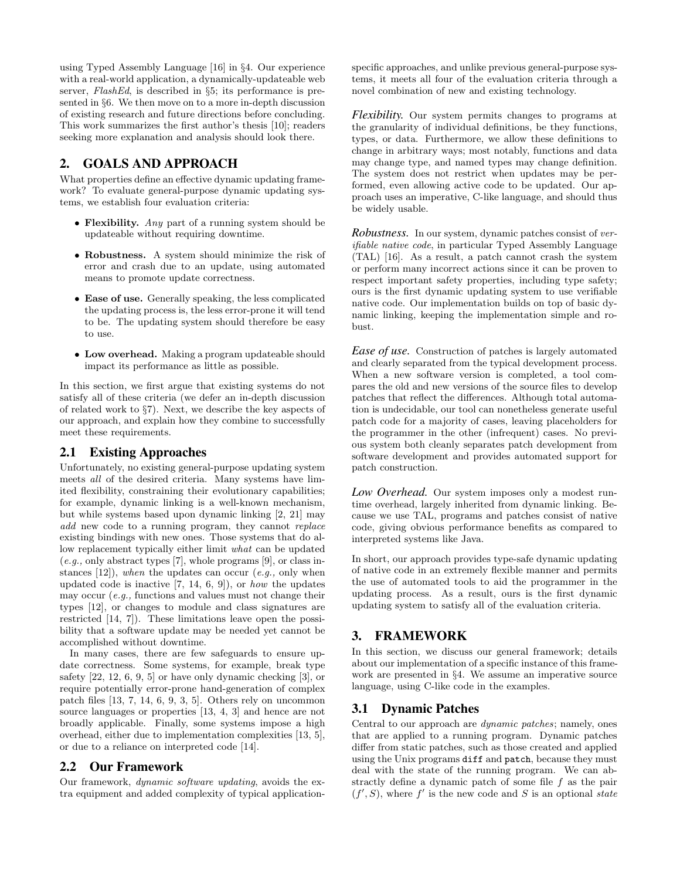using Typed Assembly Language [16] in §4. Our experience with a real-world application, a dynamically-updateable web server, FlashEd, is described in §5; its performance is presented in §6. We then move on to a more in-depth discussion of existing research and future directions before concluding. This work summarizes the first author's thesis [10]; readers seeking more explanation and analysis should look there.

# 2. GOALS AND APPROACH

What properties define an effective dynamic updating framework? To evaluate general-purpose dynamic updating systems, we establish four evaluation criteria:

- Flexibility. Any part of a running system should be updateable without requiring downtime.
- Robustness. A system should minimize the risk of error and crash due to an update, using automated means to promote update correctness.
- Ease of use. Generally speaking, the less complicated the updating process is, the less error-prone it will tend to be. The updating system should therefore be easy to use.
- Low overhead. Making a program updateable should impact its performance as little as possible.

In this section, we first argue that existing systems do not satisfy all of these criteria (we defer an in-depth discussion of related work to §7). Next, we describe the key aspects of our approach, and explain how they combine to successfully meet these requirements.

# 2.1 Existing Approaches

Unfortunately, no existing general-purpose updating system meets all of the desired criteria. Many systems have limited flexibility, constraining their evolutionary capabilities; for example, dynamic linking is a well-known mechanism, but while systems based upon dynamic linking [2, 21] may add new code to a running program, they cannot replace existing bindings with new ones. Those systems that do allow replacement typically either limit what can be updated  $(e.g., \text{ only abstract types } [7], \text{whole programs } [9], \text{ or class in-}$ stances  $[12]$ , when the updates can occur (e.g., only when updated code is inactive  $[7, 14, 6, 9]$ , or how the updates may occur (e.g., functions and values must not change their types [12], or changes to module and class signatures are restricted [14, 7]). These limitations leave open the possibility that a software update may be needed yet cannot be accomplished without downtime.

In many cases, there are few safeguards to ensure update correctness. Some systems, for example, break type safety [22, 12, 6, 9, 5] or have only dynamic checking [3], or require potentially error-prone hand-generation of complex patch files [13, 7, 14, 6, 9, 3, 5]. Others rely on uncommon source languages or properties [13, 4, 3] and hence are not broadly applicable. Finally, some systems impose a high overhead, either due to implementation complexities [13, 5], or due to a reliance on interpreted code [14].

# 2.2 Our Framework

Our framework, dynamic software updating, avoids the extra equipment and added complexity of typical applicationspecific approaches, and unlike previous general-purpose systems, it meets all four of the evaluation criteria through a novel combination of new and existing technology.

*Flexibility.* Our system permits changes to programs at the granularity of individual definitions, be they functions, types, or data. Furthermore, we allow these definitions to change in arbitrary ways; most notably, functions and data may change type, and named types may change definition. The system does not restrict when updates may be performed, even allowing active code to be updated. Our approach uses an imperative, C-like language, and should thus be widely usable.

*Robustness.* In our system, dynamic patches consist of verifiable native code, in particular Typed Assembly Language (TAL) [16]. As a result, a patch cannot crash the system or perform many incorrect actions since it can be proven to respect important safety properties, including type safety; ours is the first dynamic updating system to use verifiable native code. Our implementation builds on top of basic dynamic linking, keeping the implementation simple and robust.

*Ease of use.* Construction of patches is largely automated and clearly separated from the typical development process. When a new software version is completed, a tool compares the old and new versions of the source files to develop patches that reflect the differences. Although total automation is undecidable, our tool can nonetheless generate useful patch code for a majority of cases, leaving placeholders for the programmer in the other (infrequent) cases. No previous system both cleanly separates patch development from software development and provides automated support for patch construction.

Low Overhead. Our system imposes only a modest runtime overhead, largely inherited from dynamic linking. Because we use TAL, programs and patches consist of native code, giving obvious performance benefits as compared to interpreted systems like Java.

In short, our approach provides type-safe dynamic updating of native code in an extremely flexible manner and permits the use of automated tools to aid the programmer in the updating process. As a result, ours is the first dynamic updating system to satisfy all of the evaluation criteria.

# 3. FRAMEWORK

In this section, we discuss our general framework; details about our implementation of a specific instance of this framework are presented in §4. We assume an imperative source language, using C-like code in the examples.

# 3.1 Dynamic Patches

Central to our approach are dynamic patches; namely, ones that are applied to a running program. Dynamic patches differ from static patches, such as those created and applied using the Unix programs diff and patch, because they must deal with the state of the running program. We can abstractly define a dynamic patch of some file f as the pair  $(f', S)$ , where f' is the new code and S is an optional state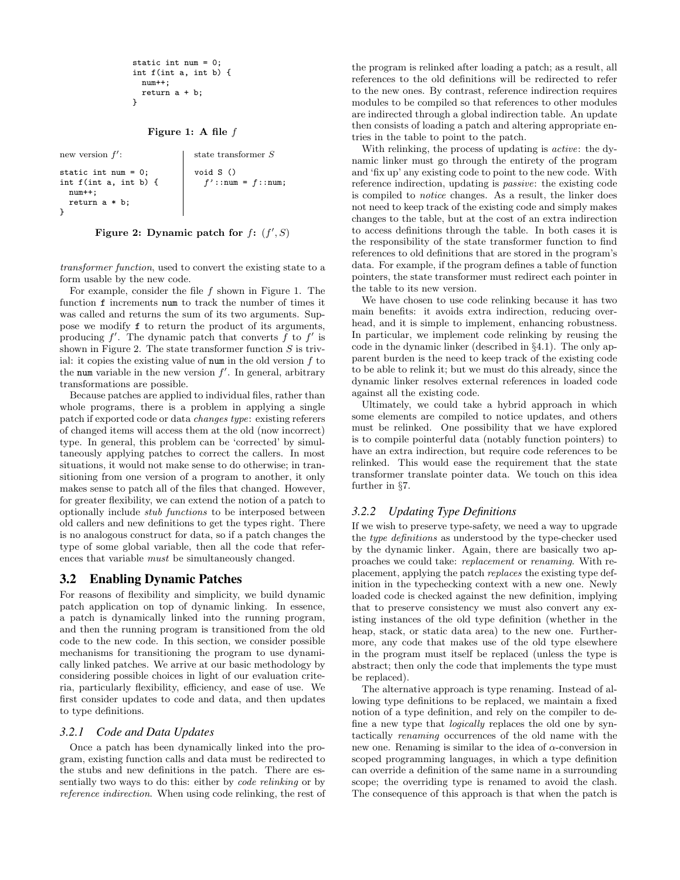```
static int num = 0;
int f(int a, int b) {
 num++;
 return a + b;
}
```
#### Figure 1: A file f

new version  $f'$ : static int num = 0; int f(int a, int b) { num++; return a \* b; } state transformer S void S ()  $f'$  :: num =  $f$  :: num;

Figure 2: Dynamic patch for  $f: (f', S)$ 

transformer function, used to convert the existing state to a form usable by the new code.

For example, consider the file  $f$  shown in Figure 1. The function f increments num to track the number of times it was called and returns the sum of its two arguments. Suppose we modify f to return the product of its arguments, producing  $f'$ . The dynamic patch that converts  $f$  to  $f'$  is shown in Figure 2. The state transformer function  $S$  is trivial: it copies the existing value of num in the old version  $f$  to the num variable in the new version  $f'$ . In general, arbitrary transformations are possible.

Because patches are applied to individual files, rather than whole programs, there is a problem in applying a single patch if exported code or data changes type: existing referers of changed items will access them at the old (now incorrect) type. In general, this problem can be 'corrected' by simultaneously applying patches to correct the callers. In most situations, it would not make sense to do otherwise; in transitioning from one version of a program to another, it only makes sense to patch all of the files that changed. However, for greater flexibility, we can extend the notion of a patch to optionally include stub functions to be interposed between old callers and new definitions to get the types right. There is no analogous construct for data, so if a patch changes the type of some global variable, then all the code that references that variable must be simultaneously changed.

## 3.2 Enabling Dynamic Patches

For reasons of flexibility and simplicity, we build dynamic patch application on top of dynamic linking. In essence, a patch is dynamically linked into the running program, and then the running program is transitioned from the old code to the new code. In this section, we consider possible mechanisms for transitioning the program to use dynamically linked patches. We arrive at our basic methodology by considering possible choices in light of our evaluation criteria, particularly flexibility, efficiency, and ease of use. We first consider updates to code and data, and then updates to type definitions.

#### *3.2.1 Code and Data Updates*

Once a patch has been dynamically linked into the program, existing function calls and data must be redirected to the stubs and new definitions in the patch. There are essentially two ways to do this: either by code relinking or by reference indirection. When using code relinking, the rest of the program is relinked after loading a patch; as a result, all references to the old definitions will be redirected to refer to the new ones. By contrast, reference indirection requires modules to be compiled so that references to other modules are indirected through a global indirection table. An update then consists of loading a patch and altering appropriate entries in the table to point to the patch.

With relinking, the process of updating is *active*: the dynamic linker must go through the entirety of the program and 'fix up' any existing code to point to the new code. With reference indirection, updating is passive: the existing code is compiled to notice changes. As a result, the linker does not need to keep track of the existing code and simply makes changes to the table, but at the cost of an extra indirection to access definitions through the table. In both cases it is the responsibility of the state transformer function to find references to old definitions that are stored in the program's data. For example, if the program defines a table of function pointers, the state transformer must redirect each pointer in the table to its new version.

We have chosen to use code relinking because it has two main benefits: it avoids extra indirection, reducing overhead, and it is simple to implement, enhancing robustness. In particular, we implement code relinking by reusing the code in the dynamic linker (described in §4.1). The only apparent burden is the need to keep track of the existing code to be able to relink it; but we must do this already, since the dynamic linker resolves external references in loaded code against all the existing code.

Ultimately, we could take a hybrid approach in which some elements are compiled to notice updates, and others must be relinked. One possibility that we have explored is to compile pointerful data (notably function pointers) to have an extra indirection, but require code references to be relinked. This would ease the requirement that the state transformer translate pointer data. We touch on this idea further in §7.

#### *3.2.2 Updating Type Definitions*

If we wish to preserve type-safety, we need a way to upgrade the type definitions as understood by the type-checker used by the dynamic linker. Again, there are basically two approaches we could take: replacement or renaming. With replacement, applying the patch replaces the existing type definition in the typechecking context with a new one. Newly loaded code is checked against the new definition, implying that to preserve consistency we must also convert any existing instances of the old type definition (whether in the heap, stack, or static data area) to the new one. Furthermore, any code that makes use of the old type elsewhere in the program must itself be replaced (unless the type is abstract; then only the code that implements the type must be replaced).

The alternative approach is type renaming. Instead of allowing type definitions to be replaced, we maintain a fixed notion of a type definition, and rely on the compiler to define a new type that logically replaces the old one by syntactically renaming occurrences of the old name with the new one. Renaming is similar to the idea of  $\alpha$ -conversion in scoped programming languages, in which a type definition can override a definition of the same name in a surrounding scope; the overriding type is renamed to avoid the clash. The consequence of this approach is that when the patch is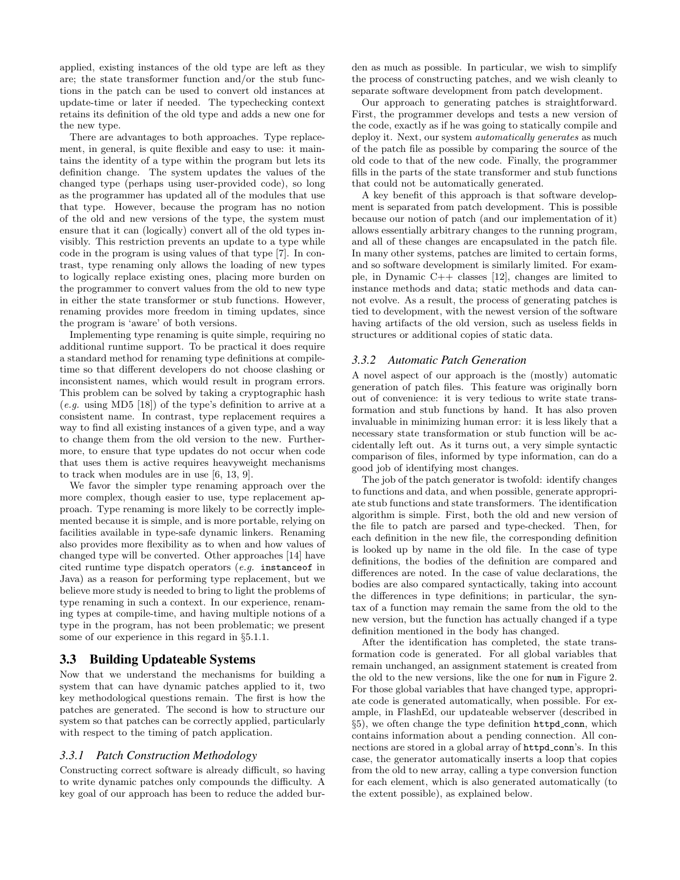applied, existing instances of the old type are left as they are; the state transformer function and/or the stub functions in the patch can be used to convert old instances at update-time or later if needed. The typechecking context retains its definition of the old type and adds a new one for the new type.

There are advantages to both approaches. Type replacement, in general, is quite flexible and easy to use: it maintains the identity of a type within the program but lets its definition change. The system updates the values of the changed type (perhaps using user-provided code), so long as the programmer has updated all of the modules that use that type. However, because the program has no notion of the old and new versions of the type, the system must ensure that it can (logically) convert all of the old types invisibly. This restriction prevents an update to a type while code in the program is using values of that type [7]. In contrast, type renaming only allows the loading of new types to logically replace existing ones, placing more burden on the programmer to convert values from the old to new type in either the state transformer or stub functions. However, renaming provides more freedom in timing updates, since the program is 'aware' of both versions.

Implementing type renaming is quite simple, requiring no additional runtime support. To be practical it does require a standard method for renaming type definitions at compiletime so that different developers do not choose clashing or inconsistent names, which would result in program errors. This problem can be solved by taking a cryptographic hash (e.g. using MD5 [18]) of the type's definition to arrive at a consistent name. In contrast, type replacement requires a way to find all existing instances of a given type, and a way to change them from the old version to the new. Furthermore, to ensure that type updates do not occur when code that uses them is active requires heavyweight mechanisms to track when modules are in use [6, 13, 9].

We favor the simpler type renaming approach over the more complex, though easier to use, type replacement approach. Type renaming is more likely to be correctly implemented because it is simple, and is more portable, relying on facilities available in type-safe dynamic linkers. Renaming also provides more flexibility as to when and how values of changed type will be converted. Other approaches [14] have cited runtime type dispatch operators (e.g. instanceof in Java) as a reason for performing type replacement, but we believe more study is needed to bring to light the problems of type renaming in such a context. In our experience, renaming types at compile-time, and having multiple notions of a type in the program, has not been problematic; we present some of our experience in this regard in §5.1.1.

#### 3.3 Building Updateable Systems

Now that we understand the mechanisms for building a system that can have dynamic patches applied to it, two key methodological questions remain. The first is how the patches are generated. The second is how to structure our system so that patches can be correctly applied, particularly with respect to the timing of patch application.

#### *3.3.1 Patch Construction Methodology*

Constructing correct software is already difficult, so having to write dynamic patches only compounds the difficulty. A key goal of our approach has been to reduce the added burden as much as possible. In particular, we wish to simplify the process of constructing patches, and we wish cleanly to separate software development from patch development.

Our approach to generating patches is straightforward. First, the programmer develops and tests a new version of the code, exactly as if he was going to statically compile and deploy it. Next, our system automatically generates as much of the patch file as possible by comparing the source of the old code to that of the new code. Finally, the programmer fills in the parts of the state transformer and stub functions that could not be automatically generated.

A key benefit of this approach is that software development is separated from patch development. This is possible because our notion of patch (and our implementation of it) allows essentially arbitrary changes to the running program, and all of these changes are encapsulated in the patch file. In many other systems, patches are limited to certain forms, and so software development is similarly limited. For example, in Dynamic C++ classes [12], changes are limited to instance methods and data; static methods and data cannot evolve. As a result, the process of generating patches is tied to development, with the newest version of the software having artifacts of the old version, such as useless fields in structures or additional copies of static data.

#### *3.3.2 Automatic Patch Generation*

A novel aspect of our approach is the (mostly) automatic generation of patch files. This feature was originally born out of convenience: it is very tedious to write state transformation and stub functions by hand. It has also proven invaluable in minimizing human error: it is less likely that a necessary state transformation or stub function will be accidentally left out. As it turns out, a very simple syntactic comparison of files, informed by type information, can do a good job of identifying most changes.

The job of the patch generator is twofold: identify changes to functions and data, and when possible, generate appropriate stub functions and state transformers. The identification algorithm is simple. First, both the old and new version of the file to patch are parsed and type-checked. Then, for each definition in the new file, the corresponding definition is looked up by name in the old file. In the case of type definitions, the bodies of the definition are compared and differences are noted. In the case of value declarations, the bodies are also compared syntactically, taking into account the differences in type definitions; in particular, the syntax of a function may remain the same from the old to the new version, but the function has actually changed if a type definition mentioned in the body has changed.

After the identification has completed, the state transformation code is generated. For all global variables that remain unchanged, an assignment statement is created from the old to the new versions, like the one for num in Figure 2. For those global variables that have changed type, appropriate code is generated automatically, when possible. For example, in FlashEd, our updateable webserver (described in §5), we often change the type definition httpd conn, which contains information about a pending connection. All connections are stored in a global array of httpd conn's. In this case, the generator automatically inserts a loop that copies from the old to new array, calling a type conversion function for each element, which is also generated automatically (to the extent possible), as explained below.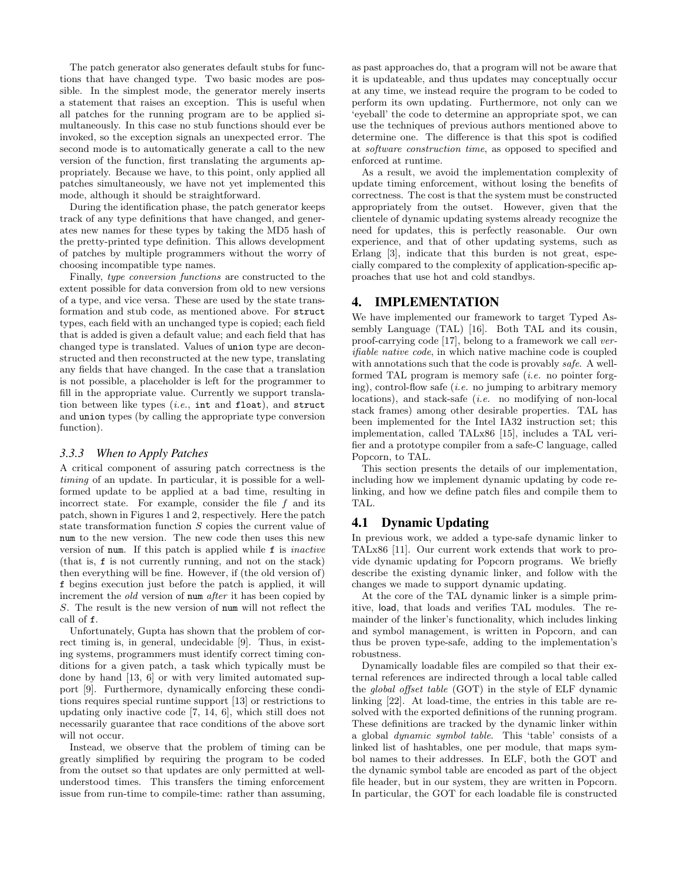The patch generator also generates default stubs for functions that have changed type. Two basic modes are possible. In the simplest mode, the generator merely inserts a statement that raises an exception. This is useful when all patches for the running program are to be applied simultaneously. In this case no stub functions should ever be invoked, so the exception signals an unexpected error. The second mode is to automatically generate a call to the new version of the function, first translating the arguments appropriately. Because we have, to this point, only applied all patches simultaneously, we have not yet implemented this mode, although it should be straightforward.

During the identification phase, the patch generator keeps track of any type definitions that have changed, and generates new names for these types by taking the MD5 hash of the pretty-printed type definition. This allows development of patches by multiple programmers without the worry of choosing incompatible type names.

Finally, type conversion functions are constructed to the extent possible for data conversion from old to new versions of a type, and vice versa. These are used by the state transformation and stub code, as mentioned above. For struct types, each field with an unchanged type is copied; each field that is added is given a default value; and each field that has changed type is translated. Values of union type are deconstructed and then reconstructed at the new type, translating any fields that have changed. In the case that a translation is not possible, a placeholder is left for the programmer to fill in the appropriate value. Currently we support translation between like types  $(i.e., int and float),$  and struct and union types (by calling the appropriate type conversion function).

#### *3.3.3 When to Apply Patches*

A critical component of assuring patch correctness is the timing of an update. In particular, it is possible for a wellformed update to be applied at a bad time, resulting in incorrect state. For example, consider the file  $f$  and its patch, shown in Figures 1 and 2, respectively. Here the patch state transformation function S copies the current value of num to the new version. The new code then uses this new version of num. If this patch is applied while f is inactive (that is, f is not currently running, and not on the stack) then everything will be fine. However, if (the old version of) f begins execution just before the patch is applied, it will increment the *old* version of num *after* it has been copied by S. The result is the new version of num will not reflect the call of f.

Unfortunately, Gupta has shown that the problem of correct timing is, in general, undecidable [9]. Thus, in existing systems, programmers must identify correct timing conditions for a given patch, a task which typically must be done by hand [13, 6] or with very limited automated support [9]. Furthermore, dynamically enforcing these conditions requires special runtime support [13] or restrictions to updating only inactive code [7, 14, 6], which still does not necessarily guarantee that race conditions of the above sort will not occur.

Instead, we observe that the problem of timing can be greatly simplified by requiring the program to be coded from the outset so that updates are only permitted at wellunderstood times. This transfers the timing enforcement issue from run-time to compile-time: rather than assuming,

as past approaches do, that a program will not be aware that it is updateable, and thus updates may conceptually occur at any time, we instead require the program to be coded to perform its own updating. Furthermore, not only can we 'eyeball' the code to determine an appropriate spot, we can use the techniques of previous authors mentioned above to determine one. The difference is that this spot is codified at software construction time, as opposed to specified and enforced at runtime.

As a result, we avoid the implementation complexity of update timing enforcement, without losing the benefits of correctness. The cost is that the system must be constructed appropriately from the outset. However, given that the clientele of dynamic updating systems already recognize the need for updates, this is perfectly reasonable. Our own experience, and that of other updating systems, such as Erlang [3], indicate that this burden is not great, especially compared to the complexity of application-specific approaches that use hot and cold standbys.

## 4. IMPLEMENTATION

We have implemented our framework to target Typed Assembly Language (TAL) [16]. Both TAL and its cousin, proof-carrying code [17], belong to a framework we call verifiable native code, in which native machine code is coupled with annotations such that the code is provably *safe*. A wellformed TAL program is memory safe (i.e. no pointer forging), control-flow safe (*i.e.* no jumping to arbitrary memory locations), and stack-safe (i.e. no modifying of non-local stack frames) among other desirable properties. TAL has been implemented for the Intel IA32 instruction set; this implementation, called TALx86 [15], includes a TAL verifier and a prototype compiler from a safe-C language, called Popcorn, to TAL.

This section presents the details of our implementation, including how we implement dynamic updating by code relinking, and how we define patch files and compile them to TAL.

## 4.1 Dynamic Updating

In previous work, we added a type-safe dynamic linker to TALx86 [11]. Our current work extends that work to provide dynamic updating for Popcorn programs. We briefly describe the existing dynamic linker, and follow with the changes we made to support dynamic updating.

At the core of the TAL dynamic linker is a simple primitive, load, that loads and verifies TAL modules. The remainder of the linker's functionality, which includes linking and symbol management, is written in Popcorn, and can thus be proven type-safe, adding to the implementation's robustness.

Dynamically loadable files are compiled so that their external references are indirected through a local table called the global offset table (GOT) in the style of ELF dynamic linking [22]. At load-time, the entries in this table are resolved with the exported definitions of the running program. These definitions are tracked by the dynamic linker within a global dynamic symbol table. This 'table' consists of a linked list of hashtables, one per module, that maps symbol names to their addresses. In ELF, both the GOT and the dynamic symbol table are encoded as part of the object file header, but in our system, they are written in Popcorn. In particular, the GOT for each loadable file is constructed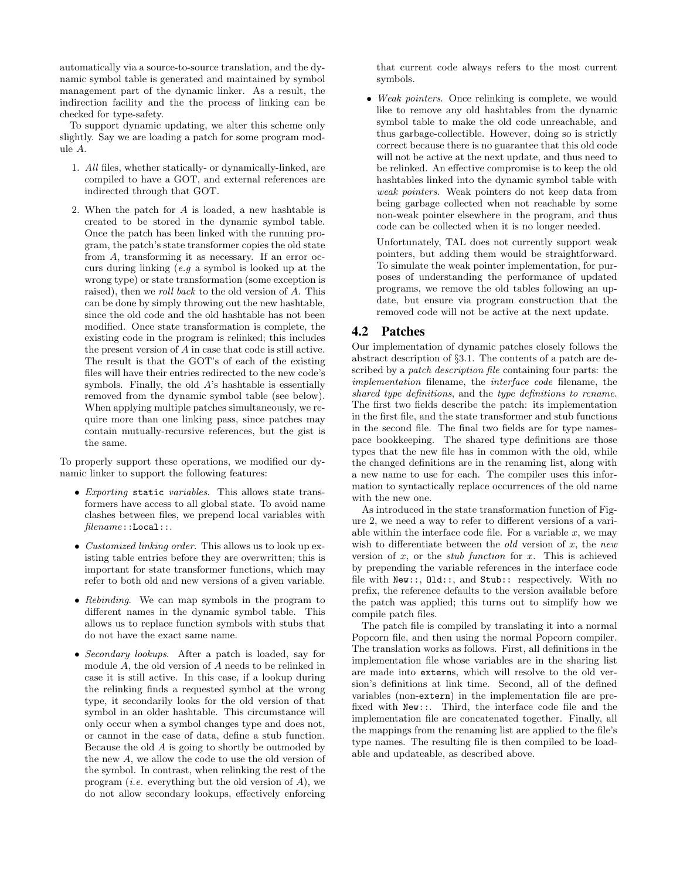automatically via a source-to-source translation, and the dynamic symbol table is generated and maintained by symbol management part of the dynamic linker. As a result, the indirection facility and the the process of linking can be checked for type-safety.

To support dynamic updating, we alter this scheme only slightly. Say we are loading a patch for some program module A.

- 1. All files, whether statically- or dynamically-linked, are compiled to have a GOT, and external references are indirected through that GOT.
- 2. When the patch for A is loaded, a new hashtable is created to be stored in the dynamic symbol table. Once the patch has been linked with the running program, the patch's state transformer copies the old state from A, transforming it as necessary. If an error occurs during linking (e.g a symbol is looked up at the wrong type) or state transformation (some exception is raised), then we roll back to the old version of A. This can be done by simply throwing out the new hashtable, since the old code and the old hashtable has not been modified. Once state transformation is complete, the existing code in the program is relinked; this includes the present version of A in case that code is still active. The result is that the GOT's of each of the existing files will have their entries redirected to the new code's symbols. Finally, the old A's hashtable is essentially removed from the dynamic symbol table (see below). When applying multiple patches simultaneously, we require more than one linking pass, since patches may contain mutually-recursive references, but the gist is the same.

To properly support these operations, we modified our dynamic linker to support the following features:

- Exporting static variables. This allows state transformers have access to all global state. To avoid name clashes between files, we prepend local variables with  $filename::Local::.$
- *Customized linking order*. This allows us to look up existing table entries before they are overwritten; this is important for state transformer functions, which may refer to both old and new versions of a given variable.
- Rebinding. We can map symbols in the program to different names in the dynamic symbol table. This allows us to replace function symbols with stubs that do not have the exact same name.
- Secondary lookups. After a patch is loaded, say for module A, the old version of A needs to be relinked in case it is still active. In this case, if a lookup during the relinking finds a requested symbol at the wrong type, it secondarily looks for the old version of that symbol in an older hashtable. This circumstance will only occur when a symbol changes type and does not, or cannot in the case of data, define a stub function. Because the old A is going to shortly be outmoded by the new A, we allow the code to use the old version of the symbol. In contrast, when relinking the rest of the program *(i.e.* everything but the old version of  $A$ ), we do not allow secondary lookups, effectively enforcing

that current code always refers to the most current symbols.

• Weak pointers. Once relinking is complete, we would like to remove any old hashtables from the dynamic symbol table to make the old code unreachable, and thus garbage-collectible. However, doing so is strictly correct because there is no guarantee that this old code will not be active at the next update, and thus need to be relinked. An effective compromise is to keep the old hashtables linked into the dynamic symbol table with weak pointers. Weak pointers do not keep data from being garbage collected when not reachable by some non-weak pointer elsewhere in the program, and thus code can be collected when it is no longer needed.

Unfortunately, TAL does not currently support weak pointers, but adding them would be straightforward. To simulate the weak pointer implementation, for purposes of understanding the performance of updated programs, we remove the old tables following an update, but ensure via program construction that the removed code will not be active at the next update.

## 4.2 Patches

Our implementation of dynamic patches closely follows the abstract description of §3.1. The contents of a patch are described by a patch description file containing four parts: the implementation filename, the interface code filename, the shared type definitions, and the type definitions to rename. The first two fields describe the patch: its implementation in the first file, and the state transformer and stub functions in the second file. The final two fields are for type namespace bookkeeping. The shared type definitions are those types that the new file has in common with the old, while the changed definitions are in the renaming list, along with a new name to use for each. The compiler uses this information to syntactically replace occurrences of the old name with the new one.

As introduced in the state transformation function of Figure 2, we need a way to refer to different versions of a variable within the interface code file. For a variable  $x$ , we may wish to differentiate between the  $old$  version of  $x$ , the new version of  $x$ , or the *stub function* for  $x$ . This is achieved by prepending the variable references in the interface code file with New::, Old::, and Stub:: respectively. With no prefix, the reference defaults to the version available before the patch was applied; this turns out to simplify how we compile patch files.

The patch file is compiled by translating it into a normal Popcorn file, and then using the normal Popcorn compiler. The translation works as follows. First, all definitions in the implementation file whose variables are in the sharing list are made into externs, which will resolve to the old version's definitions at link time. Second, all of the defined variables (non-extern) in the implementation file are prefixed with New::. Third, the interface code file and the implementation file are concatenated together. Finally, all the mappings from the renaming list are applied to the file's type names. The resulting file is then compiled to be loadable and updateable, as described above.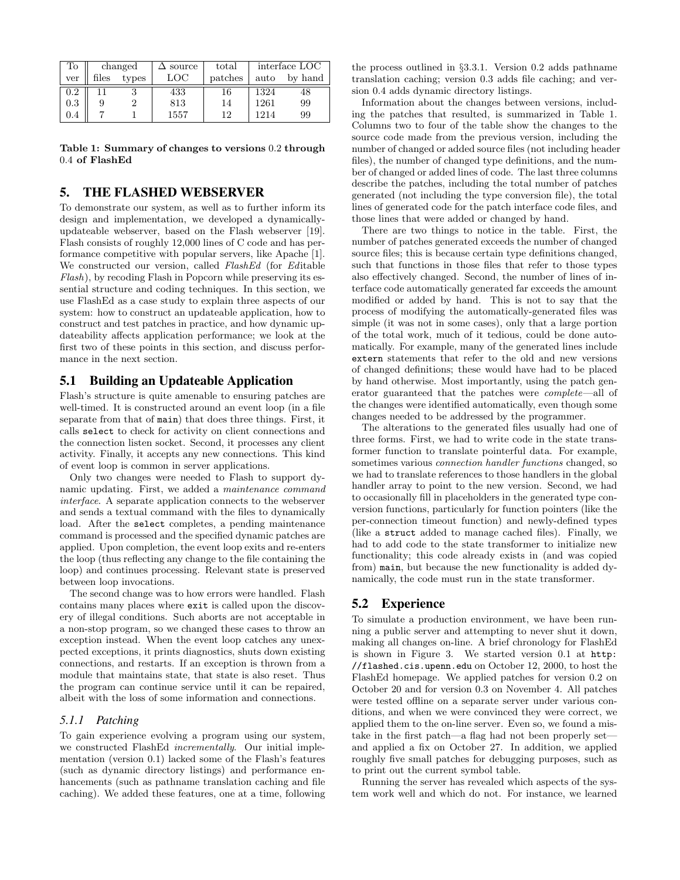| Гo      | changed |       | source | total   | interface LOC |         |
|---------|---------|-------|--------|---------|---------------|---------|
| ver     | files   | types | 'JOC   | patches | auto          | by hand |
| $0.2\,$ |         |       | 433    | 16      | 1324          | 48      |
| 0.3     |         |       | 813    | 14      | 1261          | 99      |
| 0.4     |         |       | 1557   | 19      | 214           | 99      |

Table 1: Summary of changes to versions 0.2 through 0.4 of FlashEd

## 5. THE FLASHED WEBSERVER

To demonstrate our system, as well as to further inform its design and implementation, we developed a dynamicallyupdateable webserver, based on the Flash webserver [19]. Flash consists of roughly 12,000 lines of C code and has performance competitive with popular servers, like Apache [1]. We constructed our version, called FlashEd (for Editable Flash), by recoding Flash in Popcorn while preserving its essential structure and coding techniques. In this section, we use FlashEd as a case study to explain three aspects of our system: how to construct an updateable application, how to construct and test patches in practice, and how dynamic updateability affects application performance; we look at the first two of these points in this section, and discuss performance in the next section.

#### 5.1 Building an Updateable Application

Flash's structure is quite amenable to ensuring patches are well-timed. It is constructed around an event loop (in a file separate from that of main) that does three things. First, it calls select to check for activity on client connections and the connection listen socket. Second, it processes any client activity. Finally, it accepts any new connections. This kind of event loop is common in server applications.

Only two changes were needed to Flash to support dynamic updating. First, we added a maintenance command interface. A separate application connects to the webserver and sends a textual command with the files to dynamically load. After the select completes, a pending maintenance command is processed and the specified dynamic patches are applied. Upon completion, the event loop exits and re-enters the loop (thus reflecting any change to the file containing the loop) and continues processing. Relevant state is preserved between loop invocations.

The second change was to how errors were handled. Flash contains many places where exit is called upon the discovery of illegal conditions. Such aborts are not acceptable in a non-stop program, so we changed these cases to throw an exception instead. When the event loop catches any unexpected exceptions, it prints diagnostics, shuts down existing connections, and restarts. If an exception is thrown from a module that maintains state, that state is also reset. Thus the program can continue service until it can be repaired, albeit with the loss of some information and connections.

#### *5.1.1 Patching*

To gain experience evolving a program using our system, we constructed FlashEd *incrementally*. Our initial implementation (version 0.1) lacked some of the Flash's features (such as dynamic directory listings) and performance enhancements (such as pathname translation caching and file caching). We added these features, one at a time, following the process outlined in §3.3.1. Version 0.2 adds pathname translation caching; version 0.3 adds file caching; and version 0.4 adds dynamic directory listings.

Information about the changes between versions, including the patches that resulted, is summarized in Table 1. Columns two to four of the table show the changes to the source code made from the previous version, including the number of changed or added source files (not including header files), the number of changed type definitions, and the number of changed or added lines of code. The last three columns describe the patches, including the total number of patches generated (not including the type conversion file), the total lines of generated code for the patch interface code files, and those lines that were added or changed by hand.

There are two things to notice in the table. First, the number of patches generated exceeds the number of changed source files; this is because certain type definitions changed, such that functions in those files that refer to those types also effectively changed. Second, the number of lines of interface code automatically generated far exceeds the amount modified or added by hand. This is not to say that the process of modifying the automatically-generated files was simple (it was not in some cases), only that a large portion of the total work, much of it tedious, could be done automatically. For example, many of the generated lines include extern statements that refer to the old and new versions of changed definitions; these would have had to be placed by hand otherwise. Most importantly, using the patch generator guaranteed that the patches were complete—all of the changes were identified automatically, even though some changes needed to be addressed by the programmer.

The alterations to the generated files usually had one of three forms. First, we had to write code in the state transformer function to translate pointerful data. For example, sometimes various connection handler functions changed, so we had to translate references to those handlers in the global handler array to point to the new version. Second, we had to occasionally fill in placeholders in the generated type conversion functions, particularly for function pointers (like the per-connection timeout function) and newly-defined types (like a struct added to manage cached files). Finally, we had to add code to the state transformer to initialize new functionality; this code already exists in (and was copied from) main, but because the new functionality is added dynamically, the code must run in the state transformer.

## 5.2 Experience

To simulate a production environment, we have been running a public server and attempting to never shut it down, making all changes on-line. A brief chronology for FlashEd is shown in Figure 3. We started version 0.1 at http: //flashed.cis.upenn.edu on October 12, 2000, to host the FlashEd homepage. We applied patches for version 0.2 on October 20 and for version 0.3 on November 4. All patches were tested offline on a separate server under various conditions, and when we were convinced they were correct, we applied them to the on-line server. Even so, we found a mistake in the first patch—a flag had not been properly set and applied a fix on October 27. In addition, we applied roughly five small patches for debugging purposes, such as to print out the current symbol table.

Running the server has revealed which aspects of the system work well and which do not. For instance, we learned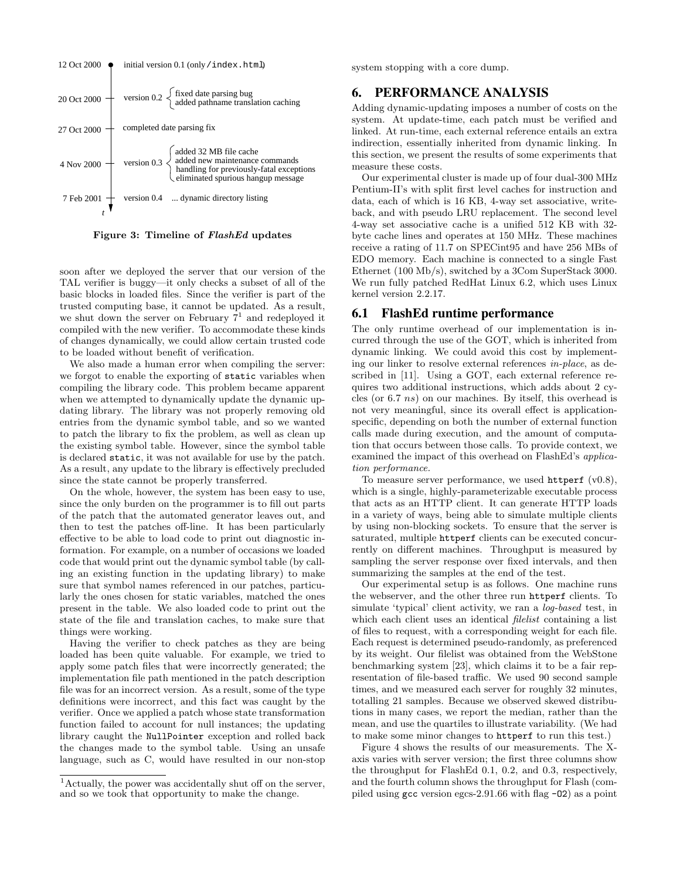

Figure 3: Timeline of FlashEd updates

soon after we deployed the server that our version of the TAL verifier is buggy—it only checks a subset of all of the basic blocks in loaded files. Since the verifier is part of the trusted computing base, it cannot be updated. As a result, we shut down the server on February  $7<sup>1</sup>$  and redeployed it compiled with the new verifier. To accommodate these kinds of changes dynamically, we could allow certain trusted code to be loaded without benefit of verification.

We also made a human error when compiling the server: we forgot to enable the exporting of static variables when compiling the library code. This problem became apparent when we attempted to dynamically update the dynamic updating library. The library was not properly removing old entries from the dynamic symbol table, and so we wanted to patch the library to fix the problem, as well as clean up the existing symbol table. However, since the symbol table is declared static, it was not available for use by the patch. As a result, any update to the library is effectively precluded since the state cannot be properly transferred.

On the whole, however, the system has been easy to use, since the only burden on the programmer is to fill out parts of the patch that the automated generator leaves out, and then to test the patches off-line. It has been particularly effective to be able to load code to print out diagnostic information. For example, on a number of occasions we loaded code that would print out the dynamic symbol table (by calling an existing function in the updating library) to make sure that symbol names referenced in our patches, particularly the ones chosen for static variables, matched the ones present in the table. We also loaded code to print out the state of the file and translation caches, to make sure that things were working.

Having the verifier to check patches as they are being loaded has been quite valuable. For example, we tried to apply some patch files that were incorrectly generated; the implementation file path mentioned in the patch description file was for an incorrect version. As a result, some of the type definitions were incorrect, and this fact was caught by the verifier. Once we applied a patch whose state transformation function failed to account for null instances; the updating library caught the NullPointer exception and rolled back the changes made to the symbol table. Using an unsafe language, such as C, would have resulted in our non-stop

system stopping with a core dump.

## 6. PERFORMANCE ANALYSIS

Adding dynamic-updating imposes a number of costs on the system. At update-time, each patch must be verified and linked. At run-time, each external reference entails an extra indirection, essentially inherited from dynamic linking. In this section, we present the results of some experiments that measure these costs.

Our experimental cluster is made up of four dual-300 MHz Pentium-II's with split first level caches for instruction and data, each of which is 16 KB, 4-way set associative, writeback, and with pseudo LRU replacement. The second level 4-way set associative cache is a unified 512 KB with 32 byte cache lines and operates at 150 MHz. These machines receive a rating of 11.7 on SPECint95 and have 256 MBs of EDO memory. Each machine is connected to a single Fast Ethernet (100 Mb/s), switched by a 3Com SuperStack 3000. We run fully patched RedHat Linux 6.2, which uses Linux kernel version 2.2.17.

## 6.1 FlashEd runtime performance

The only runtime overhead of our implementation is incurred through the use of the GOT, which is inherited from dynamic linking. We could avoid this cost by implementing our linker to resolve external references in-place, as described in [11]. Using a GOT, each external reference requires two additional instructions, which adds about 2 cycles (or 6.7 ns) on our machines. By itself, this overhead is not very meaningful, since its overall effect is applicationspecific, depending on both the number of external function calls made during execution, and the amount of computation that occurs between those calls. To provide context, we examined the impact of this overhead on FlashEd's application performance.

To measure server performance, we used httperf  $(v0.8)$ , which is a single, highly-parameterizable executable process that acts as an HTTP client. It can generate HTTP loads in a variety of ways, being able to simulate multiple clients by using non-blocking sockets. To ensure that the server is saturated, multiple httperf clients can be executed concurrently on different machines. Throughput is measured by sampling the server response over fixed intervals, and then summarizing the samples at the end of the test.

Our experimental setup is as follows. One machine runs the webserver, and the other three run httperf clients. To simulate 'typical' client activity, we ran a log-based test, in which each client uses an identical *filelist* containing a list of files to request, with a corresponding weight for each file. Each request is determined pseudo-randomly, as preferenced by its weight. Our filelist was obtained from the WebStone benchmarking system [23], which claims it to be a fair representation of file-based traffic. We used 90 second sample times, and we measured each server for roughly 32 minutes, totalling 21 samples. Because we observed skewed distributions in many cases, we report the median, rather than the mean, and use the quartiles to illustrate variability. (We had to make some minor changes to httperf to run this test.)

Figure 4 shows the results of our measurements. The Xaxis varies with server version; the first three columns show the throughput for FlashEd 0.1, 0.2, and 0.3, respectively, and the fourth column shows the throughput for Flash (compiled using gcc version egcs-2.91.66 with flag -O2) as a point

<sup>&</sup>lt;sup>1</sup>Actually, the power was accidentally shut off on the server, and so we took that opportunity to make the change.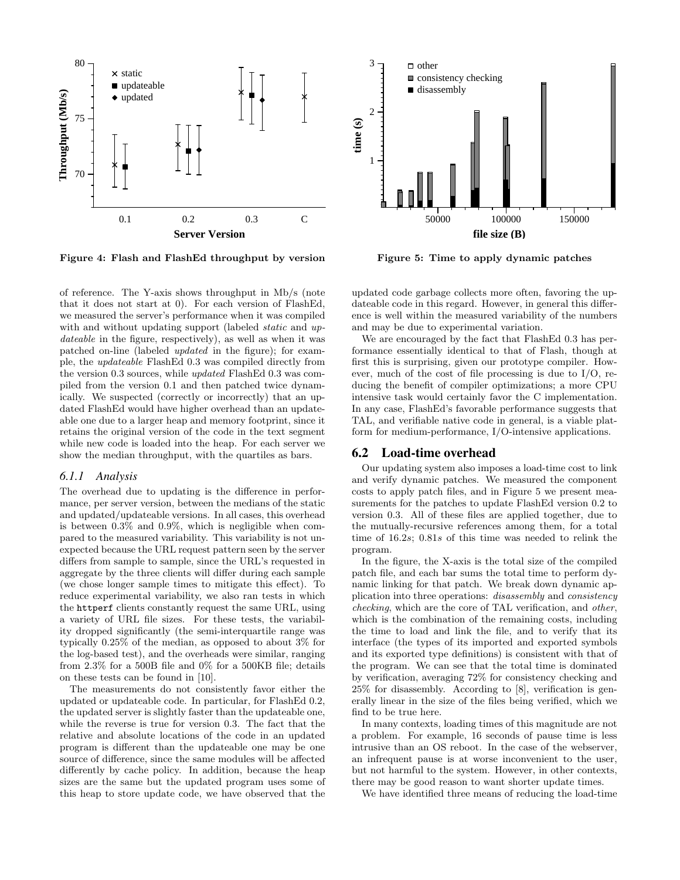

Figure 4: Flash and FlashEd throughput by version

of reference. The Y-axis shows throughput in Mb/s (note that it does not start at 0). For each version of FlashEd, we measured the server's performance when it was compiled with and without updating support (labeled *static* and updateable in the figure, respectively), as well as when it was patched on-line (labeled updated in the figure); for example, the updateable FlashEd 0.3 was compiled directly from the version 0.3 sources, while updated FlashEd 0.3 was compiled from the version 0.1 and then patched twice dynamically. We suspected (correctly or incorrectly) that an updated FlashEd would have higher overhead than an updateable one due to a larger heap and memory footprint, since it retains the original version of the code in the text segment while new code is loaded into the heap. For each server we show the median throughput, with the quartiles as bars.

#### *6.1.1 Analysis*

The overhead due to updating is the difference in performance, per server version, between the medians of the static and updated/updateable versions. In all cases, this overhead is between 0.3% and 0.9%, which is negligible when compared to the measured variability. This variability is not unexpected because the URL request pattern seen by the server differs from sample to sample, since the URL's requested in aggregate by the three clients will differ during each sample (we chose longer sample times to mitigate this effect). To reduce experimental variability, we also ran tests in which the httperf clients constantly request the same URL, using a variety of URL file sizes. For these tests, the variability dropped significantly (the semi-interquartile range was typically 0.25% of the median, as opposed to about 3% for the log-based test), and the overheads were similar, ranging from 2.3% for a 500B file and 0% for a 500KB file; details on these tests can be found in [10].

The measurements do not consistently favor either the updated or updateable code. In particular, for FlashEd 0.2, the updated server is slightly faster than the updateable one, while the reverse is true for version 0.3. The fact that the relative and absolute locations of the code in an updated program is different than the updateable one may be one source of difference, since the same modules will be affected differently by cache policy. In addition, because the heap sizes are the same but the updated program uses some of this heap to store update code, we have observed that the



Figure 5: Time to apply dynamic patches

updated code garbage collects more often, favoring the updateable code in this regard. However, in general this difference is well within the measured variability of the numbers and may be due to experimental variation.

We are encouraged by the fact that FlashEd 0.3 has performance essentially identical to that of Flash, though at first this is surprising, given our prototype compiler. However, much of the cost of file processing is due to I/O, reducing the benefit of compiler optimizations; a more CPU intensive task would certainly favor the C implementation. In any case, FlashEd's favorable performance suggests that TAL, and verifiable native code in general, is a viable platform for medium-performance, I/O-intensive applications.

#### 6.2 Load-time overhead

Our updating system also imposes a load-time cost to link and verify dynamic patches. We measured the component costs to apply patch files, and in Figure 5 we present measurements for the patches to update FlashEd version 0.2 to version 0.3. All of these files are applied together, due to the mutually-recursive references among them, for a total time of 16.2s; 0.81s of this time was needed to relink the program.

In the figure, the X-axis is the total size of the compiled patch file, and each bar sums the total time to perform dynamic linking for that patch. We break down dynamic application into three operations: disassembly and consistency checking, which are the core of TAL verification, and other, which is the combination of the remaining costs, including the time to load and link the file, and to verify that its interface (the types of its imported and exported symbols and its exported type definitions) is consistent with that of the program. We can see that the total time is dominated by verification, averaging 72% for consistency checking and 25% for disassembly. According to [8], verification is generally linear in the size of the files being verified, which we find to be true here.

In many contexts, loading times of this magnitude are not a problem. For example, 16 seconds of pause time is less intrusive than an OS reboot. In the case of the webserver, an infrequent pause is at worse inconvenient to the user, but not harmful to the system. However, in other contexts, there may be good reason to want shorter update times.

We have identified three means of reducing the load-time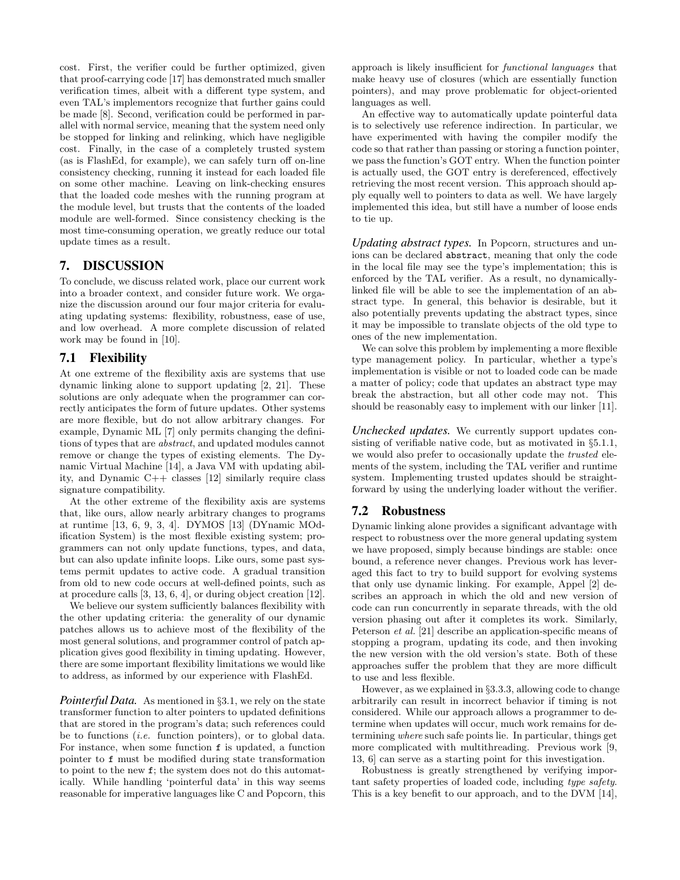cost. First, the verifier could be further optimized, given that proof-carrying code [17] has demonstrated much smaller verification times, albeit with a different type system, and even TAL's implementors recognize that further gains could be made [8]. Second, verification could be performed in parallel with normal service, meaning that the system need only be stopped for linking and relinking, which have negligible cost. Finally, in the case of a completely trusted system (as is FlashEd, for example), we can safely turn off on-line consistency checking, running it instead for each loaded file on some other machine. Leaving on link-checking ensures that the loaded code meshes with the running program at the module level, but trusts that the contents of the loaded module are well-formed. Since consistency checking is the most time-consuming operation, we greatly reduce our total update times as a result.

## 7. DISCUSSION

To conclude, we discuss related work, place our current work into a broader context, and consider future work. We organize the discussion around our four major criteria for evaluating updating systems: flexibility, robustness, ease of use, and low overhead. A more complete discussion of related work may be found in [10].

## 7.1 Flexibility

At one extreme of the flexibility axis are systems that use dynamic linking alone to support updating [2, 21]. These solutions are only adequate when the programmer can correctly anticipates the form of future updates. Other systems are more flexible, but do not allow arbitrary changes. For example, Dynamic ML [7] only permits changing the definitions of types that are abstract, and updated modules cannot remove or change the types of existing elements. The Dynamic Virtual Machine [14], a Java VM with updating ability, and Dynamic C++ classes [12] similarly require class signature compatibility.

At the other extreme of the flexibility axis are systems that, like ours, allow nearly arbitrary changes to programs at runtime [13, 6, 9, 3, 4]. DYMOS [13] (DYnamic MOdification System) is the most flexible existing system; programmers can not only update functions, types, and data, but can also update infinite loops. Like ours, some past systems permit updates to active code. A gradual transition from old to new code occurs at well-defined points, such as at procedure calls [3, 13, 6, 4], or during object creation [12].

We believe our system sufficiently balances flexibility with the other updating criteria: the generality of our dynamic patches allows us to achieve most of the flexibility of the most general solutions, and programmer control of patch application gives good flexibility in timing updating. However, there are some important flexibility limitations we would like to address, as informed by our experience with FlashEd.

*Pointerful Data.* As mentioned in §3.1, we rely on the state transformer function to alter pointers to updated definitions that are stored in the program's data; such references could be to functions (i.e. function pointers), or to global data. For instance, when some function  $f$  is updated, a function pointer to f must be modified during state transformation to point to the new f; the system does not do this automatically. While handling 'pointerful data' in this way seems reasonable for imperative languages like C and Popcorn, this approach is likely insufficient for functional languages that make heavy use of closures (which are essentially function pointers), and may prove problematic for object-oriented languages as well.

An effective way to automatically update pointerful data is to selectively use reference indirection. In particular, we have experimented with having the compiler modify the code so that rather than passing or storing a function pointer, we pass the function's GOT entry. When the function pointer is actually used, the GOT entry is dereferenced, effectively retrieving the most recent version. This approach should apply equally well to pointers to data as well. We have largely implemented this idea, but still have a number of loose ends to tie up.

*Updating abstract types.* In Popcorn, structures and unions can be declared abstract, meaning that only the code in the local file may see the type's implementation; this is enforced by the TAL verifier. As a result, no dynamicallylinked file will be able to see the implementation of an abstract type. In general, this behavior is desirable, but it also potentially prevents updating the abstract types, since it may be impossible to translate objects of the old type to ones of the new implementation.

We can solve this problem by implementing a more flexible type management policy. In particular, whether a type's implementation is visible or not to loaded code can be made a matter of policy; code that updates an abstract type may break the abstraction, but all other code may not. This should be reasonably easy to implement with our linker [11].

*Unchecked updates.* We currently support updates consisting of verifiable native code, but as motivated in §5.1.1, we would also prefer to occasionally update the *trusted* elements of the system, including the TAL verifier and runtime system. Implementing trusted updates should be straightforward by using the underlying loader without the verifier.

#### 7.2 Robustness

Dynamic linking alone provides a significant advantage with respect to robustness over the more general updating system we have proposed, simply because bindings are stable: once bound, a reference never changes. Previous work has leveraged this fact to try to build support for evolving systems that only use dynamic linking. For example, Appel [2] describes an approach in which the old and new version of code can run concurrently in separate threads, with the old version phasing out after it completes its work. Similarly, Peterson et al. [21] describe an application-specific means of stopping a program, updating its code, and then invoking the new version with the old version's state. Both of these approaches suffer the problem that they are more difficult to use and less flexible.

However, as we explained in §3.3.3, allowing code to change arbitrarily can result in incorrect behavior if timing is not considered. While our approach allows a programmer to determine when updates will occur, much work remains for determining where such safe points lie. In particular, things get more complicated with multithreading. Previous work [9, 13, 6] can serve as a starting point for this investigation.

Robustness is greatly strengthened by verifying important safety properties of loaded code, including type safety. This is a key benefit to our approach, and to the DVM [14],